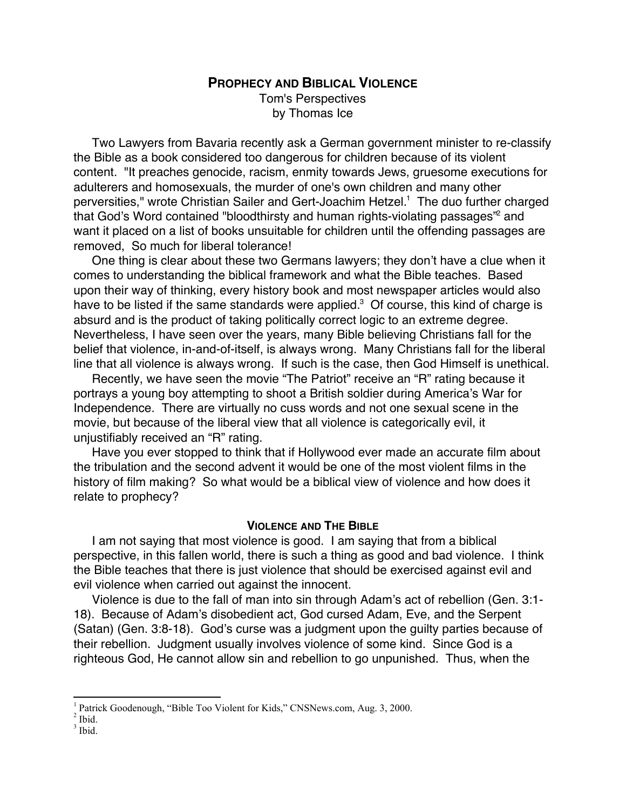# **PROPHECY AND BIBLICAL VIOLENCE** Tom's Perspectives by Thomas Ice

Two Lawyers from Bavaria recently ask a German government minister to re-classify the Bible as a book considered too dangerous for children because of its violent content. "It preaches genocide, racism, enmity towards Jews, gruesome executions for adulterers and homosexuals, the murder of one's own children and many other perversities," wrote Christian Sailer and Gert-Joachim Hetzel.<sup>1</sup> The duo further charged that God's Word contained "bloodthirsty and human rights-violating passages"<sup>2</sup> and want it placed on a list of books unsuitable for children until the offending passages are removed, So much for liberal tolerance!

One thing is clear about these two Germans lawyers; they don't have a clue when it comes to understanding the biblical framework and what the Bible teaches. Based upon their way of thinking, every history book and most newspaper articles would also have to be listed if the same standards were applied. $3$  Of course, this kind of charge is absurd and is the product of taking politically correct logic to an extreme degree. Nevertheless, I have seen over the years, many Bible believing Christians fall for the belief that violence, in-and-of-itself, is always wrong. Many Christians fall for the liberal line that all violence is always wrong. If such is the case, then God Himself is unethical.

Recently, we have seen the movie "The Patriot" receive an "R" rating because it portrays a young boy attempting to shoot a British soldier during America's War for Independence. There are virtually no cuss words and not one sexual scene in the movie, but because of the liberal view that all violence is categorically evil, it unjustifiably received an "R" rating.

Have you ever stopped to think that if Hollywood ever made an accurate film about the tribulation and the second advent it would be one of the most violent films in the history of film making? So what would be a biblical view of violence and how does it relate to prophecy?

## **VIOLENCE AND THE BIBLE**

I am not saying that most violence is good. I am saying that from a biblical perspective, in this fallen world, there is such a thing as good and bad violence. I think the Bible teaches that there is just violence that should be exercised against evil and evil violence when carried out against the innocent.

Violence is due to the fall of man into sin through Adam's act of rebellion (Gen. 3:1- 18). Because of Adam's disobedient act, God cursed Adam, Eve, and the Serpent (Satan) (Gen. 3:8-18). God's curse was a judgment upon the guilty parties because of their rebellion. Judgment usually involves violence of some kind. Since God is a righteous God, He cannot allow sin and rebellion to go unpunished. Thus, when the

 $\frac{1}{1}$ Patrick Goodenough, "Bible Too Violent for Kids," CNSNews.com, Aug. 3, 2000.

<sup>2</sup> Ibid.

 $3$  Ibid.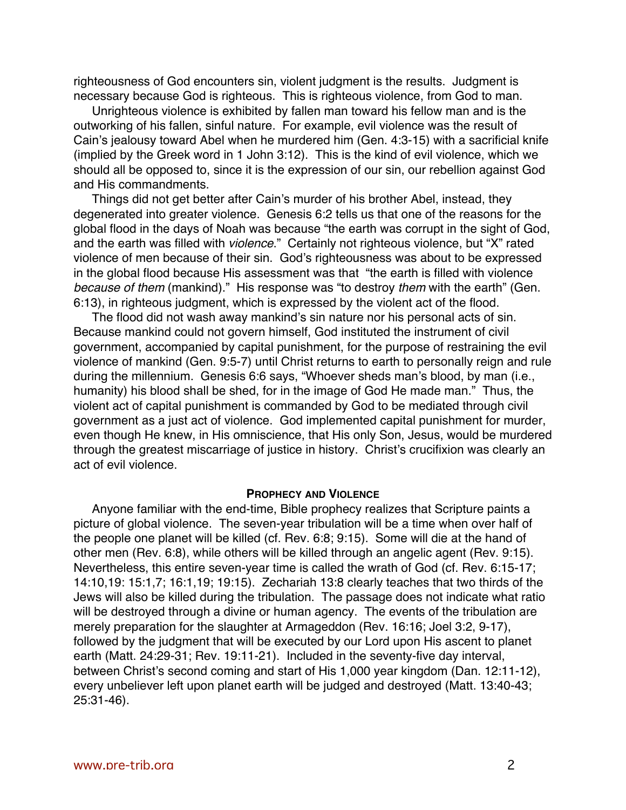righteousness of God encounters sin, violent judgment is the results. Judgment is necessary because God is righteous. This is righteous violence, from God to man.

Unrighteous violence is exhibited by fallen man toward his fellow man and is the outworking of his fallen, sinful nature. For example, evil violence was the result of Cain's jealousy toward Abel when he murdered him (Gen. 4:3-15) with a sacrificial knife (implied by the Greek word in 1 John 3:12). This is the kind of evil violence, which we should all be opposed to, since it is the expression of our sin, our rebellion against God and His commandments.

Things did not get better after Cain's murder of his brother Abel, instead, they degenerated into greater violence. Genesis 6:2 tells us that one of the reasons for the global flood in the days of Noah was because "the earth was corrupt in the sight of God, and the earth was filled with violence." Certainly not righteous violence, but "X" rated violence of men because of their sin. God's righteousness was about to be expressed in the global flood because His assessment was that "the earth is filled with violence because of them (mankind)." His response was "to destroy them with the earth" (Gen. 6:13), in righteous judgment, which is expressed by the violent act of the flood.

The flood did not wash away mankind's sin nature nor his personal acts of sin. Because mankind could not govern himself, God instituted the instrument of civil government, accompanied by capital punishment, for the purpose of restraining the evil violence of mankind (Gen. 9:5-7) until Christ returns to earth to personally reign and rule during the millennium. Genesis 6:6 says, "Whoever sheds man's blood, by man (i.e., humanity) his blood shall be shed, for in the image of God He made man." Thus, the violent act of capital punishment is commanded by God to be mediated through civil government as a just act of violence. God implemented capital punishment for murder, even though He knew, in His omniscience, that His only Son, Jesus, would be murdered through the greatest miscarriage of justice in history. Christ's crucifixion was clearly an act of evil violence.

#### **PROPHECY AND VIOLENCE**

Anyone familiar with the end-time, Bible prophecy realizes that Scripture paints a picture of global violence. The seven-year tribulation will be a time when over half of the people one planet will be killed (cf. Rev. 6:8; 9:15). Some will die at the hand of other men (Rev. 6:8), while others will be killed through an angelic agent (Rev. 9:15). Nevertheless, this entire seven-year time is called the wrath of God (cf. Rev. 6:15-17; 14:10,19: 15:1,7; 16:1,19; 19:15). Zechariah 13:8 clearly teaches that two thirds of the Jews will also be killed during the tribulation. The passage does not indicate what ratio will be destroyed through a divine or human agency. The events of the tribulation are merely preparation for the slaughter at Armageddon (Rev. 16:16; Joel 3:2, 9-17), followed by the judgment that will be executed by our Lord upon His ascent to planet earth (Matt. 24:29-31; Rev. 19:11-21). Included in the seventy-five day interval, between Christ's second coming and start of His 1,000 year kingdom (Dan. 12:11-12), every unbeliever left upon planet earth will be judged and destroyed (Matt. 13:40-43; 25:31-46).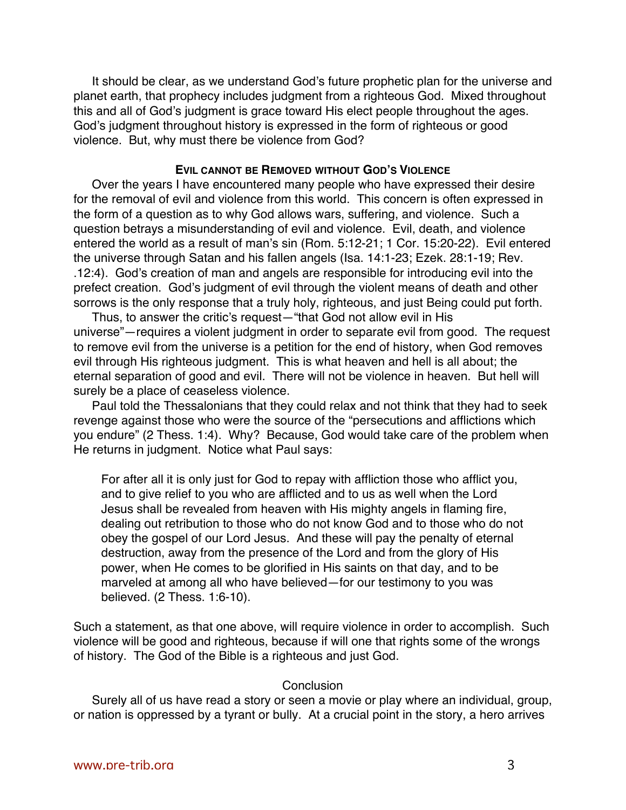It should be clear, as we understand God's future prophetic plan for the universe and planet earth, that prophecy includes judgment from a righteous God. Mixed throughout this and all of God's judgment is grace toward His elect people throughout the ages. God's judgment throughout history is expressed in the form of righteous or good violence. But, why must there be violence from God?

## **EVIL CANNOT BE REMOVED WITHOUT GOD'S VIOLENCE**

Over the years I have encountered many people who have expressed their desire for the removal of evil and violence from this world. This concern is often expressed in the form of a question as to why God allows wars, suffering, and violence. Such a question betrays a misunderstanding of evil and violence. Evil, death, and violence entered the world as a result of man's sin (Rom. 5:12-21; 1 Cor. 15:20-22). Evil entered the universe through Satan and his fallen angels (Isa. 14:1-23; Ezek. 28:1-19; Rev. .12:4). God's creation of man and angels are responsible for introducing evil into the prefect creation. God's judgment of evil through the violent means of death and other sorrows is the only response that a truly holy, righteous, and just Being could put forth.

Thus, to answer the critic's request—"that God not allow evil in His universe"—requires a violent judgment in order to separate evil from good. The request to remove evil from the universe is a petition for the end of history, when God removes evil through His righteous judgment. This is what heaven and hell is all about; the eternal separation of good and evil. There will not be violence in heaven. But hell will surely be a place of ceaseless violence.

Paul told the Thessalonians that they could relax and not think that they had to seek revenge against those who were the source of the "persecutions and afflictions which you endure" (2 Thess. 1:4). Why? Because, God would take care of the problem when He returns in judgment. Notice what Paul says:

For after all it is only just for God to repay with affliction those who afflict you, and to give relief to you who are afflicted and to us as well when the Lord Jesus shall be revealed from heaven with His mighty angels in flaming fire, dealing out retribution to those who do not know God and to those who do not obey the gospel of our Lord Jesus. And these will pay the penalty of eternal destruction, away from the presence of the Lord and from the glory of His power, when He comes to be glorified in His saints on that day, and to be marveled at among all who have believed—for our testimony to you was believed. (2 Thess. 1:6-10).

Such a statement, as that one above, will require violence in order to accomplish. Such violence will be good and righteous, because if will one that rights some of the wrongs of history. The God of the Bible is a righteous and just God.

### **Conclusion**

Surely all of us have read a story or seen a movie or play where an individual, group, or nation is oppressed by a tyrant or bully. At a crucial point in the story, a hero arrives